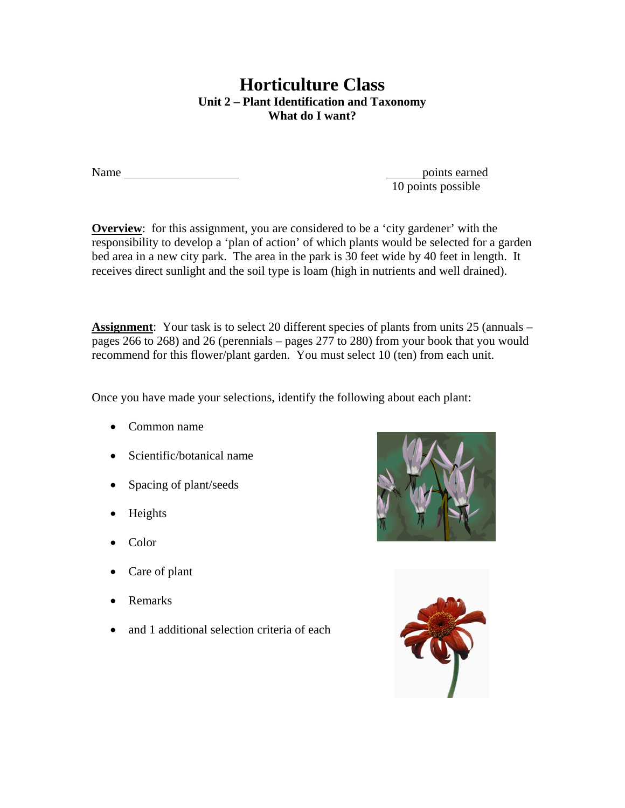## **Horticulture Class Unit 2 – Plant Identification and Taxonomy What do I want?**

Name points earned

10 points possible

**Overview**: for this assignment, you are considered to be a 'city gardener' with the responsibility to develop a 'plan of action' of which plants would be selected for a garden bed area in a new city park. The area in the park is 30 feet wide by 40 feet in length. It receives direct sunlight and the soil type is loam (high in nutrients and well drained).

**Assignment**: Your task is to select 20 different species of plants from units 25 (annuals – pages 266 to 268) and 26 (perennials – pages 277 to 280) from your book that you would recommend for this flower/plant garden. You must select 10 (ten) from each unit.

Once you have made your selections, identify the following about each plant:

- Common name
- Scientific/botanical name
- Spacing of plant/seeds
- Heights
- Color
- Care of plant
- Remarks
- and 1 additional selection criteria of each



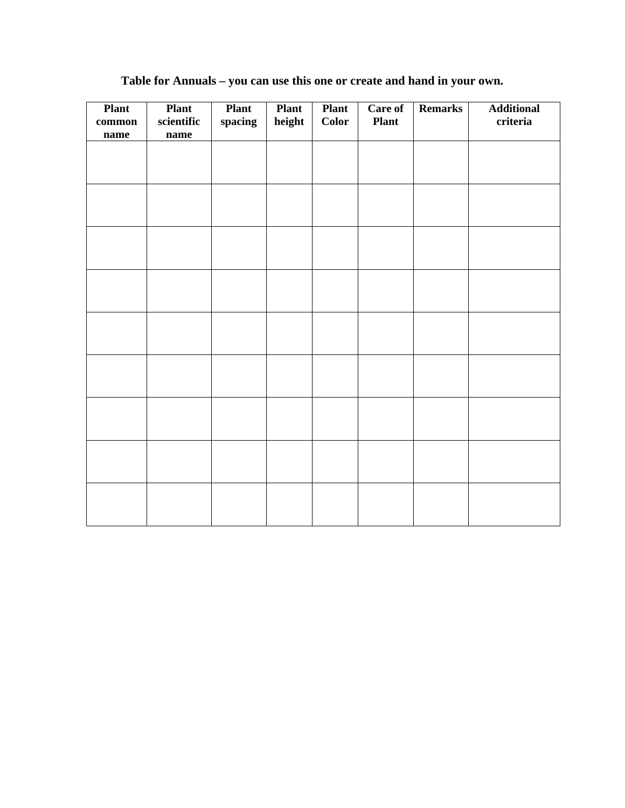| <b>Plant</b><br>$common$<br>name | <b>Plant</b><br>$\rm scientific$<br>name | <b>Plant</b><br>spacing | <b>Plant</b><br>height | <b>Plant</b><br><b>Color</b> | Care of<br><b>Plant</b> | <b>Remarks</b> | <b>Additional</b><br>criteria |
|----------------------------------|------------------------------------------|-------------------------|------------------------|------------------------------|-------------------------|----------------|-------------------------------|
|                                  |                                          |                         |                        |                              |                         |                |                               |
|                                  |                                          |                         |                        |                              |                         |                |                               |
|                                  |                                          |                         |                        |                              |                         |                |                               |
|                                  |                                          |                         |                        |                              |                         |                |                               |
|                                  |                                          |                         |                        |                              |                         |                |                               |
|                                  |                                          |                         |                        |                              |                         |                |                               |
|                                  |                                          |                         |                        |                              |                         |                |                               |
|                                  |                                          |                         |                        |                              |                         |                |                               |
|                                  |                                          |                         |                        |                              |                         |                |                               |
|                                  |                                          |                         |                        |                              |                         |                |                               |

## **Table for Annuals – you can use this one or create and hand in your own.**